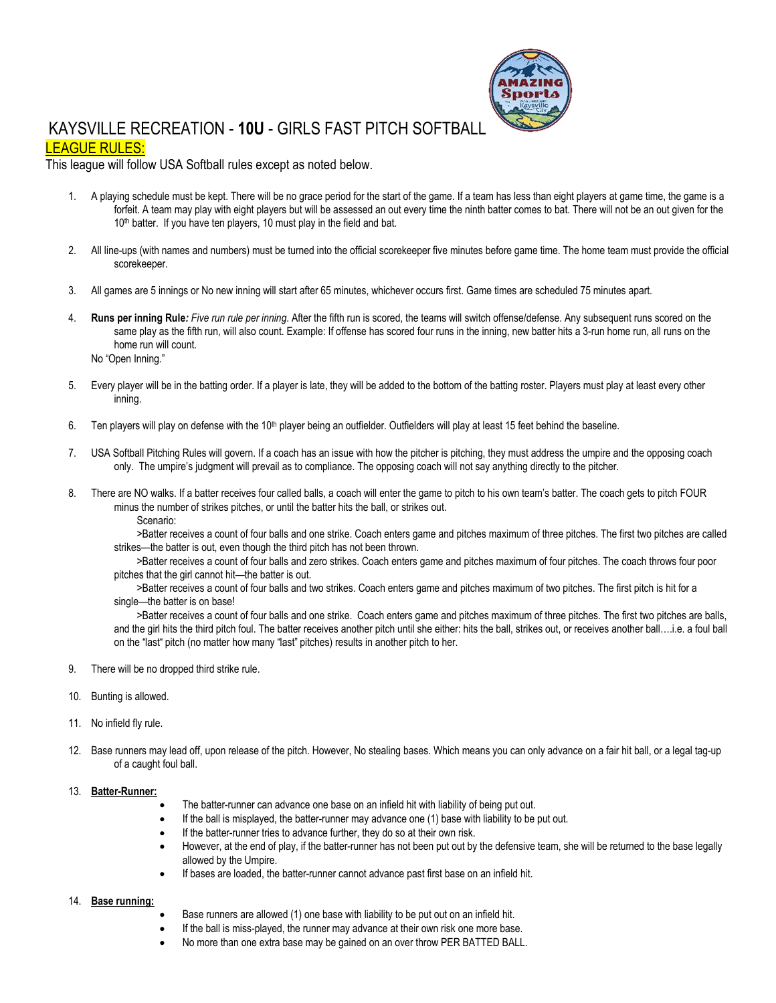

# KAYSVILLE RECREATION - **10U** - GIRLS FAST PITCH SOFTBALL LEAGUE RULES:

### This league will follow USA Softball rules except as noted below.

- 1. A playing schedule must be kept. There will be no grace period for the start of the game. If a team has less than eight players at game time, the game is a forfeit. A team may play with eight players but will be assessed an out every time the ninth batter comes to bat. There will not be an out given for the 10<sup>th</sup> batter. If you have ten players, 10 must play in the field and bat.
- 2. All line-ups (with names and numbers) must be turned into the official scorekeeper five minutes before game time. The home team must provide the official scorekeeper.
- 3. All games are 5 innings or No new inning will start after 65 minutes, whichever occurs first. Game times are scheduled 75 minutes apart.
- 4. **Runs per inning Rule***: Five run rule per inning*. After the fifth run is scored, the teams will switch offense/defense. Any subsequent runs scored on the same play as the fifth run, will also count. Example: If offense has scored four runs in the inning, new batter hits a 3-run home run, all runs on the home run will count.
	- No "Open Inning."
- 5. Every player will be in the batting order. If a player is late, they will be added to the bottom of the batting roster. Players must play at least every other inning.
- 6. Ten players will play on defense with the 10<sup>th</sup> player being an outfielder. Outfielders will play at least 15 feet behind the baseline.
- 7. USA Softball Pitching Rules will govern. If a coach has an issue with how the pitcher is pitching, they must address the umpire and the opposing coach only. The umpire's judgment will prevail as to compliance. The opposing coach will not say anything directly to the pitcher.
- 8. There are NO walks. If a batter receives four called balls, a coach will enter the game to pitch to his own team's batter. The coach gets to pitch FOUR minus the number of strikes pitches, or until the batter hits the ball, or strikes out.

Scenario:

>Batter receives a count of four balls and one strike. Coach enters game and pitches maximum of three pitches. The first two pitches are called strikes—the batter is out, even though the third pitch has not been thrown.

>Batter receives a count of four balls and zero strikes. Coach enters game and pitches maximum of four pitches. The coach throws four poor pitches that the girl cannot hit—the batter is out.

>Batter receives a count of four balls and two strikes. Coach enters game and pitches maximum of two pitches. The first pitch is hit for a single—the batter is on base!

>Batter receives a count of four balls and one strike. Coach enters game and pitches maximum of three pitches. The first two pitches are balls, and the girl hits the third pitch foul. The batter receives another pitch until she either: hits the ball, strikes out, or receives another ball….i.e. a foul ball on the "last" pitch (no matter how many "last" pitches) results in another pitch to her.

- 9. There will be no dropped third strike rule.
- 10. Bunting is allowed.
- 11. No infield fly rule.
- 12. Base runners may lead off, upon release of the pitch. However, No stealing bases. Which means you can only advance on a fair hit ball, or a legal tag-up of a caught foul ball.

#### 13. **Batter-Runner:**

- The batter-runner can advance one base on an infield hit with liability of being put out.
- If the ball is misplayed, the batter-runner may advance one (1) base with liability to be put out.
- If the batter-runner tries to advance further, they do so at their own risk.
- However, at the end of play, if the batter-runner has not been put out by the defensive team, she will be returned to the base legally allowed by the Umpire.
- If bases are loaded, the batter-runner cannot advance past first base on an infield hit.

#### 14. **Base running:**

- Base runners are allowed (1) one base with liability to be put out on an infield hit.
- If the ball is miss-played, the runner may advance at their own risk one more base.
- No more than one extra base may be gained on an over throw PER BATTED BALL.